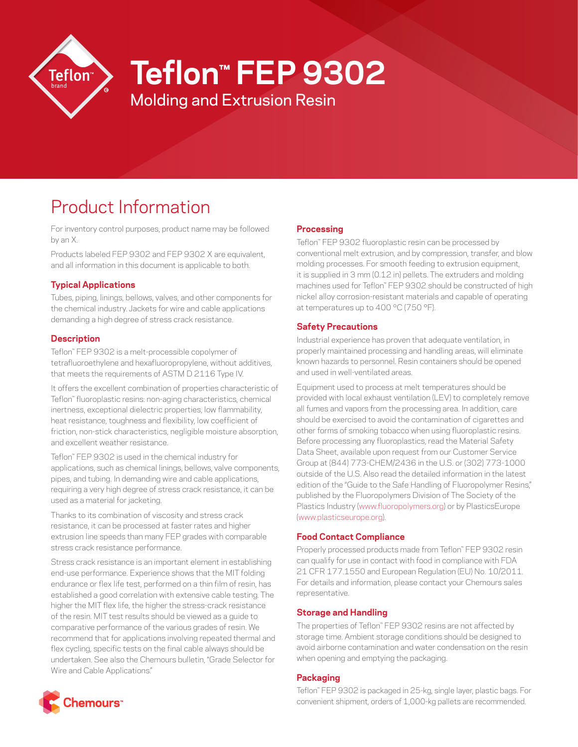

# **Teflon™ FEP 9302**

Molding and Extrusion Resin

# Product Information

For inventory control purposes, product name may be followed by an X.

Products labeled FEP 9302 and FEP 9302 X are equivalent, and all information in this document is applicable to both.

## **Typical Applications**

Tubes, piping, linings, bellows, valves, and other components for the chemical industry. Jackets for wire and cable applications demanding a high degree of stress crack resistance.

#### **Description**

Teflon™ FEP 9302 is a melt-processible copolymer of tetrafluoroethylene and hexafluoropropylene, without additives, that meets the requirements of ASTM D 2116 Type IV.

It offers the excellent combination of properties characteristic of Teflon™ fluoroplastic resins: non-aging characteristics, chemical inertness, exceptional dielectric properties, low flammability, heat resistance, toughness and flexibility, low coefficient of friction, non-stick characteristics, negligible moisture absorption, and excellent weather resistance.

Teflon™ FEP 9302 is used in the chemical industry for applications, such as chemical linings, bellows, valve components, pipes, and tubing. In demanding wire and cable applications, requiring a very high degree of stress crack resistance, it can be used as a material for jacketing.

Thanks to its combination of viscosity and stress crack resistance, it can be processed at faster rates and higher extrusion line speeds than many FEP grades with comparable stress crack resistance performance.

Stress crack resistance is an important element in establishing end-use performance. Experience shows that the MIT folding endurance or flex life test, performed on a thin film of resin, has established a good correlation with extensive cable testing. The higher the MIT flex life, the higher the stress-crack resistance of the resin. MIT test results should be viewed as a guide to comparative performance of the various grades of resin. We recommend that for applications involving repeated thermal and flex cycling, specific tests on the final cable always should be undertaken. See also the Chemours bulletin, "Grade Selector for Wire and Cable Applications."

## **Processing**

Teflon™ FEP 9302 fluoroplastic resin can be processed by conventional melt extrusion, and by compression, transfer, and blow molding processes. For smooth feeding to extrusion equipment, it is supplied in 3 mm (0.12 in) pellets. The extruders and molding machines used for Teflon™ FEP 9302 should be constructed of high nickel alloy corrosion-resistant materials and capable of operating at temperatures up to 400 °C (750 °F).

## **Safety Precautions**

Industrial experience has proven that adequate ventilation, in properly maintained processing and handling areas, will eliminate known hazards to personnel. Resin containers should be opened and used in well-ventilated areas.

Equipment used to process at melt temperatures should be provided with local exhaust ventilation (LEV) to completely remove all fumes and vapors from the processing area. In addition, care should be exercised to avoid the contamination of cigarettes and other forms of smoking tobacco when using fluoroplastic resins. Before processing any fluoroplastics, read the Material Safety Data Sheet, available upon request from our Customer Service Group at (844) 773-CHEM/2436 in the U.S. or (302) 773-1000 outside of the U.S. Also read the detailed information in the latest edition of the "Guide to the Safe Handling of Fluoropolymer Resins." published by the Fluoropolymers Division of The Society of the Plastics Industry [\(www.fluoropolymers.org](http://www.fluoropolymers.org)) or by PlasticsEurope [\(www.plasticseurope.org](http://www.plasticseurope.org)).

#### **Food Contact Compliance**

Properly processed products made from Teflon™ FEP 9302 resin can qualify for use in contact with food in compliance with FDA 21 CFR 177.1550 and European Regulation (EU) No. 10/2011. For details and information, please contact your Chemours sales representative.

# **Storage and Handling**

The properties of Teflon™ FEP 9302 resins are not affected by storage time. Ambient storage conditions should be designed to avoid airborne contamination and water condensation on the resin when opening and emptying the packaging.

#### **Packaging**

Teflon™ FEP 9302 is packaged in 25-kg, single layer, plastic bags. For convenient shipment, orders of 1,000-kg pallets are recommended.